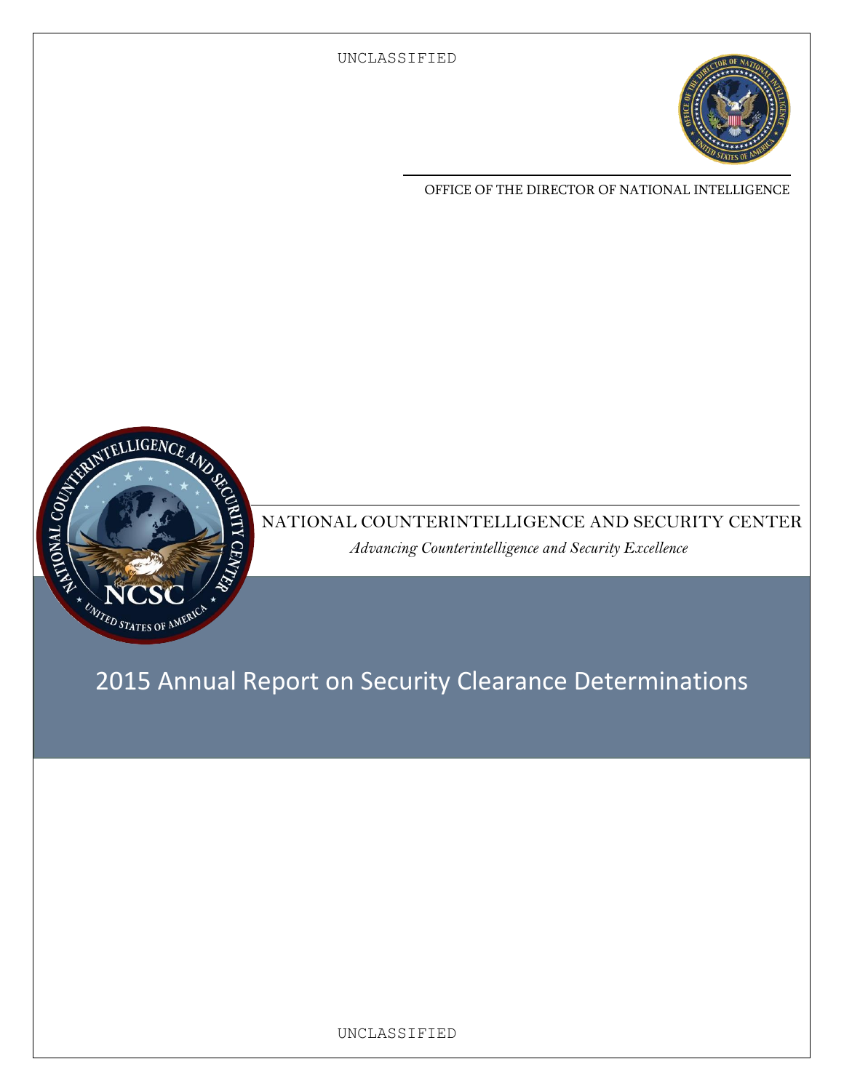

OFFICE OF THE DIRECTOR OF NATIONAL INTELLIGENCE



NATIONAL COUNTERINTELLIGENCE AND SECURITY CENTER *Advancing Counterintelligence and Security Excellence*

2015 Annual Report on Security Clearance Determinations

UNCLASSIFIED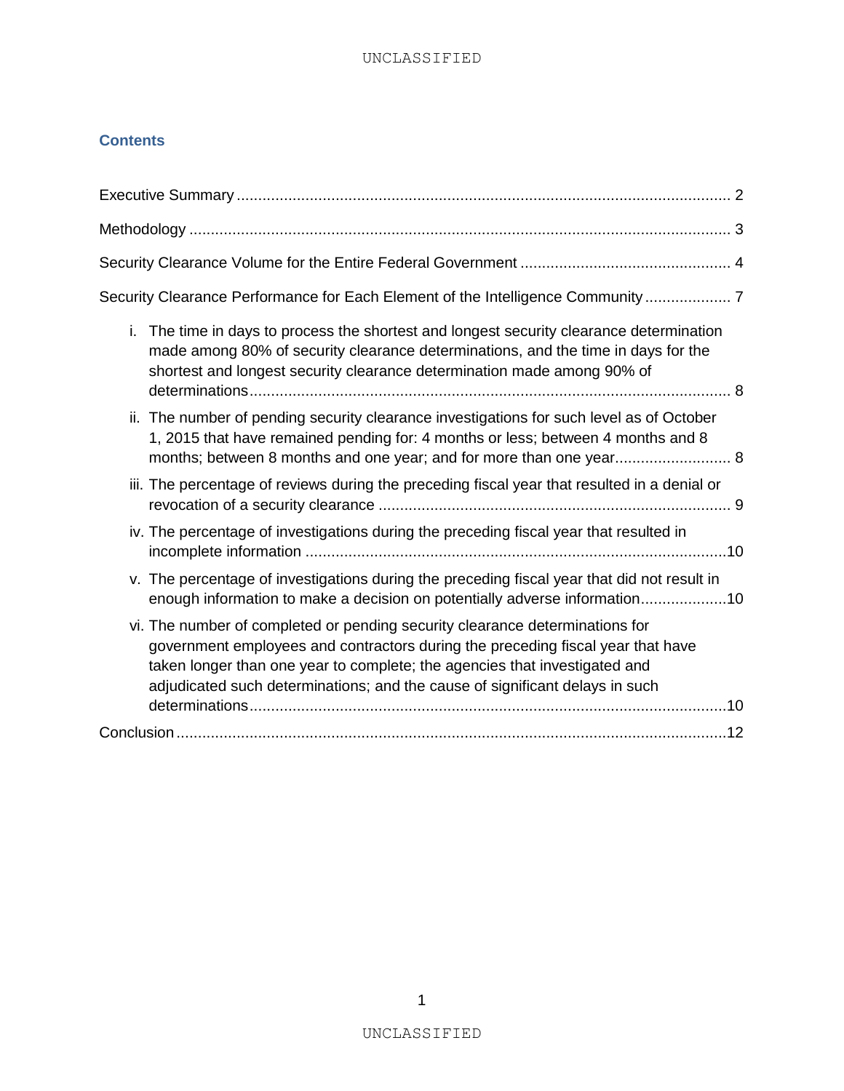#### **Contents**

| Security Clearance Performance for Each Element of the Intelligence Community  7                                                                                                                                                                                                                                              |
|-------------------------------------------------------------------------------------------------------------------------------------------------------------------------------------------------------------------------------------------------------------------------------------------------------------------------------|
| i.<br>The time in days to process the shortest and longest security clearance determination<br>made among 80% of security clearance determinations, and the time in days for the<br>shortest and longest security clearance determination made among 90% of                                                                   |
| ii. The number of pending security clearance investigations for such level as of October<br>1, 2015 that have remained pending for: 4 months or less; between 4 months and 8<br>months; between 8 months and one year; and for more than one year 8                                                                           |
| iii. The percentage of reviews during the preceding fiscal year that resulted in a denial or                                                                                                                                                                                                                                  |
| iv. The percentage of investigations during the preceding fiscal year that resulted in                                                                                                                                                                                                                                        |
| v. The percentage of investigations during the preceding fiscal year that did not result in<br>enough information to make a decision on potentially adverse information10                                                                                                                                                     |
| vi. The number of completed or pending security clearance determinations for<br>government employees and contractors during the preceding fiscal year that have<br>taken longer than one year to complete; the agencies that investigated and<br>adjudicated such determinations; and the cause of significant delays in such |
|                                                                                                                                                                                                                                                                                                                               |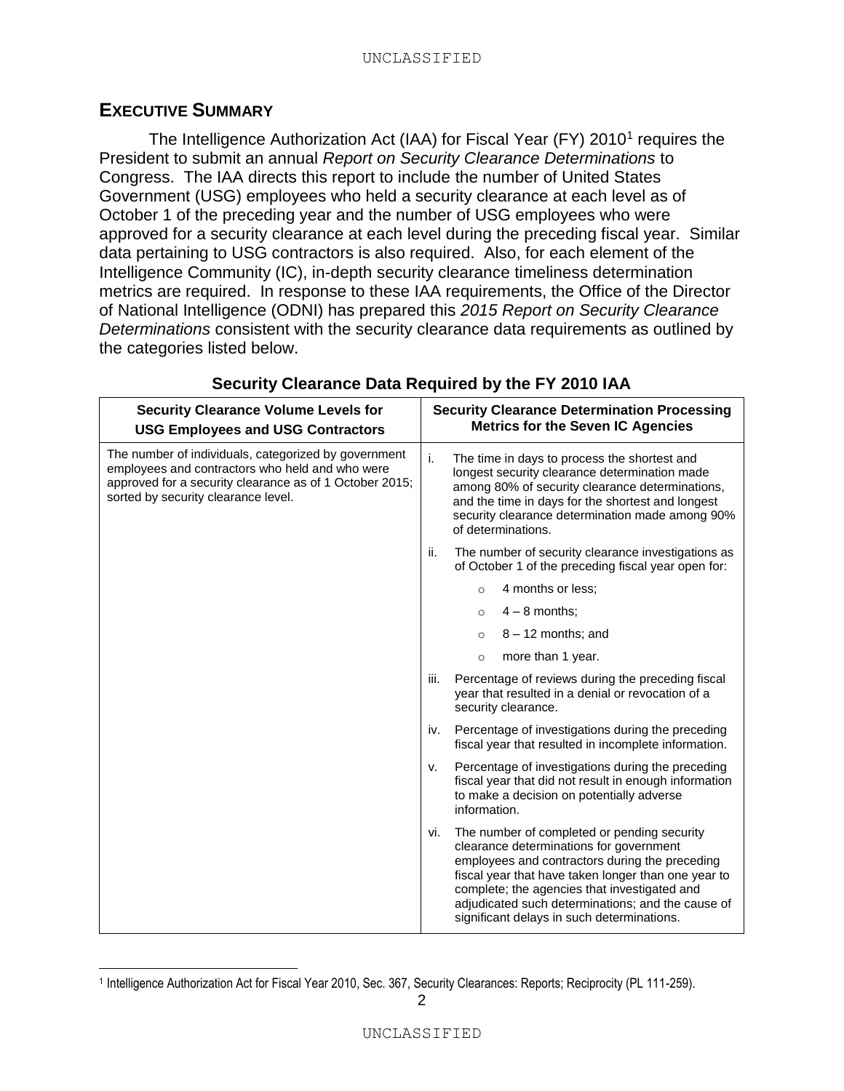#### <span id="page-2-0"></span>**EXECUTIVE SUMMARY**

 $\overline{a}$ 

The Intelligence Authorization Act (IAA) for Fiscal Year (FY) 2010<sup>1</sup> requires the President to submit an annual *Report on Security Clearance Determinations* to Congress. The IAA directs this report to include the number of United States Government (USG) employees who held a security clearance at each level as of October 1 of the preceding year and the number of USG employees who were approved for a security clearance at each level during the preceding fiscal year. Similar data pertaining to USG contractors is also required. Also, for each element of the Intelligence Community (IC), in-depth security clearance timeliness determination metrics are required. In response to these IAA requirements, the Office of the Director of National Intelligence (ODNI) has prepared this *2015 Report on Security Clearance Determinations* consistent with the security clearance data requirements as outlined by the categories listed below.

| <b>Security Clearance Volume Levels for</b><br><b>USG Employees and USG Contractors</b>                                                                                                                   | <b>Security Clearance Determination Processing</b><br><b>Metrics for the Seven IC Agencies</b>                                                                                                                                                                                                                                                            |  |
|-----------------------------------------------------------------------------------------------------------------------------------------------------------------------------------------------------------|-----------------------------------------------------------------------------------------------------------------------------------------------------------------------------------------------------------------------------------------------------------------------------------------------------------------------------------------------------------|--|
| The number of individuals, categorized by government<br>employees and contractors who held and who were<br>approved for a security clearance as of 1 October 2015;<br>sorted by security clearance level. | i.<br>The time in days to process the shortest and<br>longest security clearance determination made<br>among 80% of security clearance determinations,<br>and the time in days for the shortest and longest<br>security clearance determination made among 90%<br>of determinations.                                                                      |  |
|                                                                                                                                                                                                           | ii.<br>The number of security clearance investigations as<br>of October 1 of the preceding fiscal year open for:                                                                                                                                                                                                                                          |  |
|                                                                                                                                                                                                           | 4 months or less;<br>$\circ$                                                                                                                                                                                                                                                                                                                              |  |
|                                                                                                                                                                                                           | $4 - 8$ months;<br>$\Omega$                                                                                                                                                                                                                                                                                                                               |  |
|                                                                                                                                                                                                           | $8 - 12$ months; and<br>$\circ$                                                                                                                                                                                                                                                                                                                           |  |
|                                                                                                                                                                                                           | more than 1 year.<br>$\circ$                                                                                                                                                                                                                                                                                                                              |  |
|                                                                                                                                                                                                           | iii.<br>Percentage of reviews during the preceding fiscal<br>year that resulted in a denial or revocation of a<br>security clearance.                                                                                                                                                                                                                     |  |
|                                                                                                                                                                                                           | Percentage of investigations during the preceding<br>iv.<br>fiscal year that resulted in incomplete information.                                                                                                                                                                                                                                          |  |
|                                                                                                                                                                                                           | Percentage of investigations during the preceding<br>v.<br>fiscal year that did not result in enough information<br>to make a decision on potentially adverse<br>information.                                                                                                                                                                             |  |
|                                                                                                                                                                                                           | The number of completed or pending security<br>vi.<br>clearance determinations for government<br>employees and contractors during the preceding<br>fiscal year that have taken longer than one year to<br>complete; the agencies that investigated and<br>adjudicated such determinations; and the cause of<br>significant delays in such determinations. |  |

### **Security Clearance Data Required by the FY 2010 IAA**

<sup>1</sup> Intelligence Authorization Act for Fiscal Year 2010, Sec. 367, Security Clearances: Reports; Reciprocity (PL 111-259).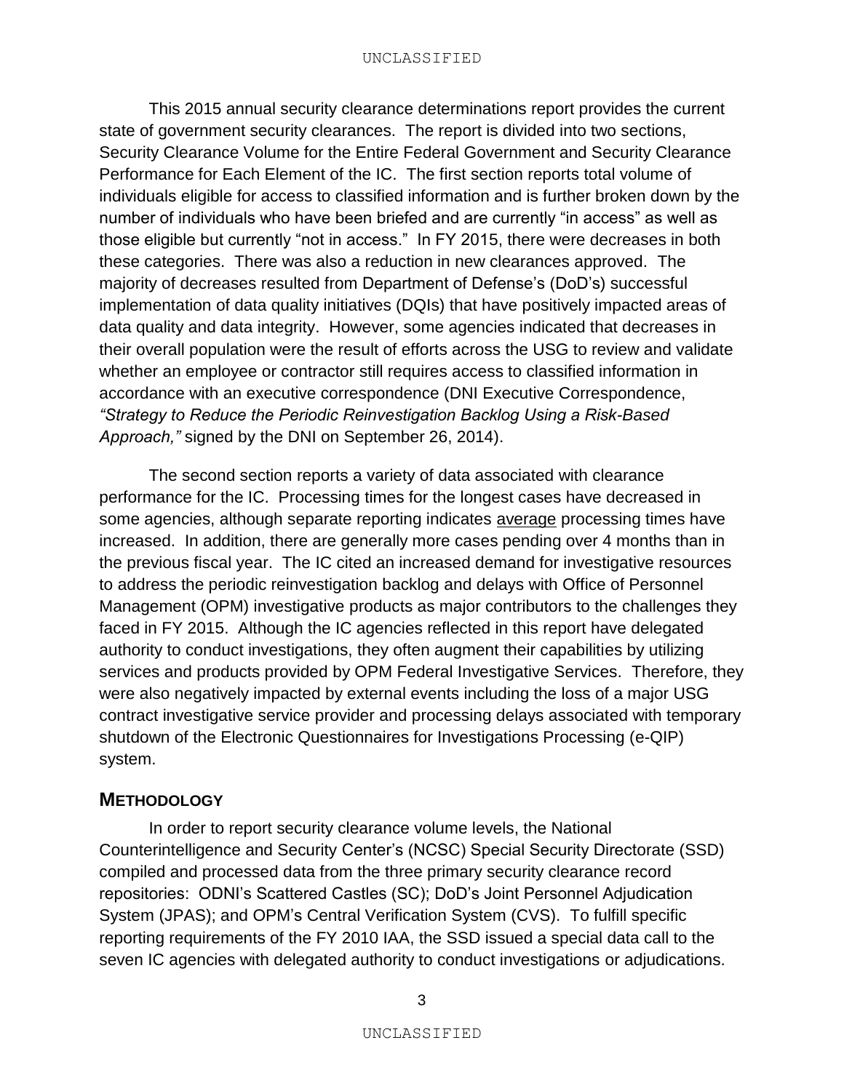This 2015 annual security clearance determinations report provides the current state of government security clearances. The report is divided into two sections, Security Clearance Volume for the Entire Federal Government and Security Clearance Performance for Each Element of the IC. The first section reports total volume of individuals eligible for access to classified information and is further broken down by the number of individuals who have been briefed and are currently "in access" as well as those eligible but currently "not in access." In FY 2015, there were decreases in both these categories. There was also a reduction in new clearances approved. The majority of decreases resulted from Department of Defense's (DoD's) successful implementation of data quality initiatives (DQIs) that have positively impacted areas of data quality and data integrity. However, some agencies indicated that decreases in their overall population were the result of efforts across the USG to review and validate whether an employee or contractor still requires access to classified information in accordance with an executive correspondence (DNI Executive Correspondence, *"Strategy to Reduce the Periodic Reinvestigation Backlog Using a Risk-Based Approach,"* signed by the DNI on September 26, 2014).

The second section reports a variety of data associated with clearance performance for the IC. Processing times for the longest cases have decreased in some agencies, although separate reporting indicates average processing times have increased. In addition, there are generally more cases pending over 4 months than in the previous fiscal year. The IC cited an increased demand for investigative resources to address the periodic reinvestigation backlog and delays with Office of Personnel Management (OPM) investigative products as major contributors to the challenges they faced in FY 2015. Although the IC agencies reflected in this report have delegated authority to conduct investigations, they often augment their capabilities by utilizing services and products provided by OPM Federal Investigative Services. Therefore, they were also negatively impacted by external events including the loss of a major USG contract investigative service provider and processing delays associated with temporary shutdown of the Electronic Questionnaires for Investigations Processing (e-QIP) system.

### <span id="page-3-0"></span>**METHODOLOGY**

In order to report security clearance volume levels, the National Counterintelligence and Security Center's (NCSC) Special Security Directorate (SSD) compiled and processed data from the three primary security clearance record repositories: ODNI's Scattered Castles (SC); DoD's Joint Personnel Adjudication System (JPAS); and OPM's Central Verification System (CVS). To fulfill specific reporting requirements of the FY 2010 IAA, the SSD issued a special data call to the seven IC agencies with delegated authority to conduct investigations or adjudications.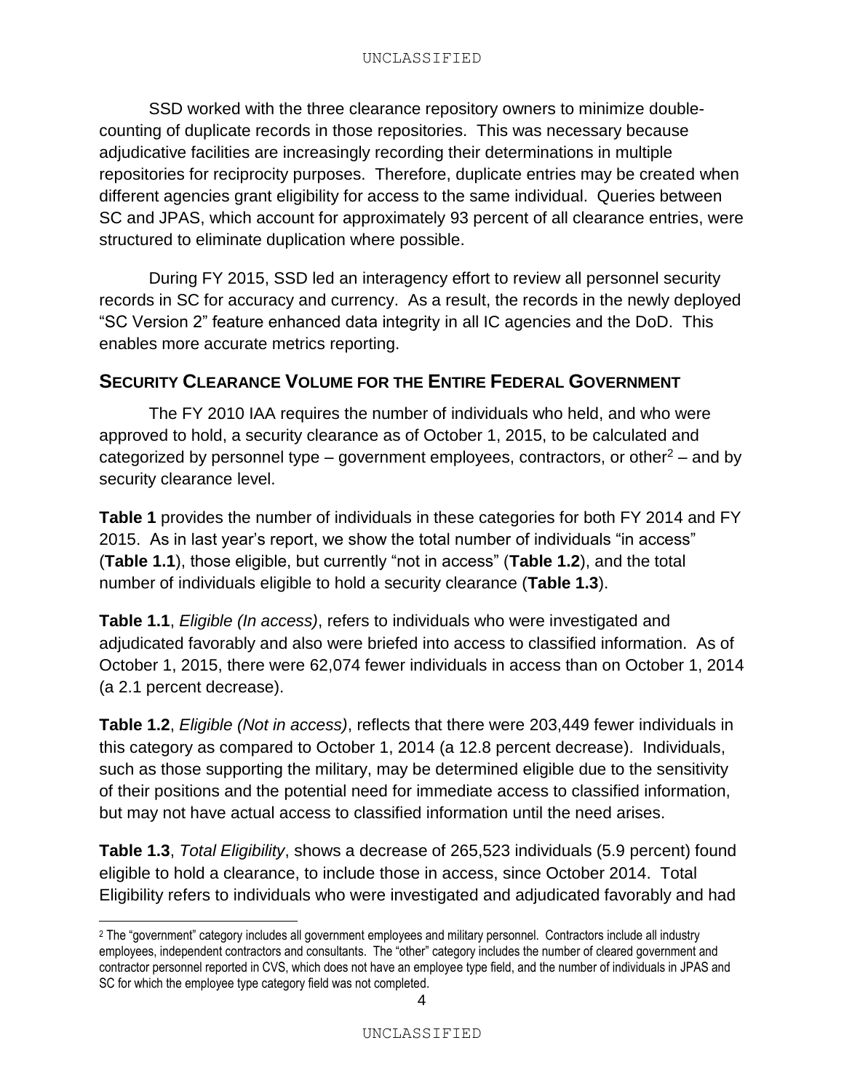SSD worked with the three clearance repository owners to minimize doublecounting of duplicate records in those repositories. This was necessary because adjudicative facilities are increasingly recording their determinations in multiple repositories for reciprocity purposes. Therefore, duplicate entries may be created when different agencies grant eligibility for access to the same individual. Queries between SC and JPAS, which account for approximately 93 percent of all clearance entries, were structured to eliminate duplication where possible.

During FY 2015, SSD led an interagency effort to review all personnel security records in SC for accuracy and currency. As a result, the records in the newly deployed "SC Version 2" feature enhanced data integrity in all IC agencies and the DoD. This enables more accurate metrics reporting.

## <span id="page-4-0"></span>**SECURITY CLEARANCE VOLUME FOR THE ENTIRE FEDERAL GOVERNMENT**

The FY 2010 IAA requires the number of individuals who held, and who were approved to hold, a security clearance as of October 1, 2015, to be calculated and categorized by personnel type – government employees, contractors, or other<sup>2</sup> – and by security clearance level.

**Table 1** provides the number of individuals in these categories for both FY 2014 and FY 2015. As in last year's report, we show the total number of individuals "in access" (**Table 1.1**), those eligible, but currently "not in access" (**Table 1.2**), and the total number of individuals eligible to hold a security clearance (**Table 1.3**).

**Table 1.1**, *Eligible (In access)*, refers to individuals who were investigated and adjudicated favorably and also were briefed into access to classified information. As of October 1, 2015, there were 62,074 fewer individuals in access than on October 1, 2014 (a 2.1 percent decrease).

**Table 1.2**, *Eligible (Not in access)*, reflects that there were 203,449 fewer individuals in this category as compared to October 1, 2014 (a 12.8 percent decrease). Individuals, such as those supporting the military, may be determined eligible due to the sensitivity of their positions and the potential need for immediate access to classified information, but may not have actual access to classified information until the need arises.

**Table 1.3**, *Total Eligibility*, shows a decrease of 265,523 individuals (5.9 percent) found eligible to hold a clearance, to include those in access, since October 2014. Total Eligibility refers to individuals who were investigated and adjudicated favorably and had

 $\overline{a}$ 

<sup>2</sup> The "government" category includes all government employees and military personnel. Contractors include all industry employees, independent contractors and consultants. The "other" category includes the number of cleared government and contractor personnel reported in CVS, which does not have an employee type field, and the number of individuals in JPAS and SC for which the employee type category field was not completed.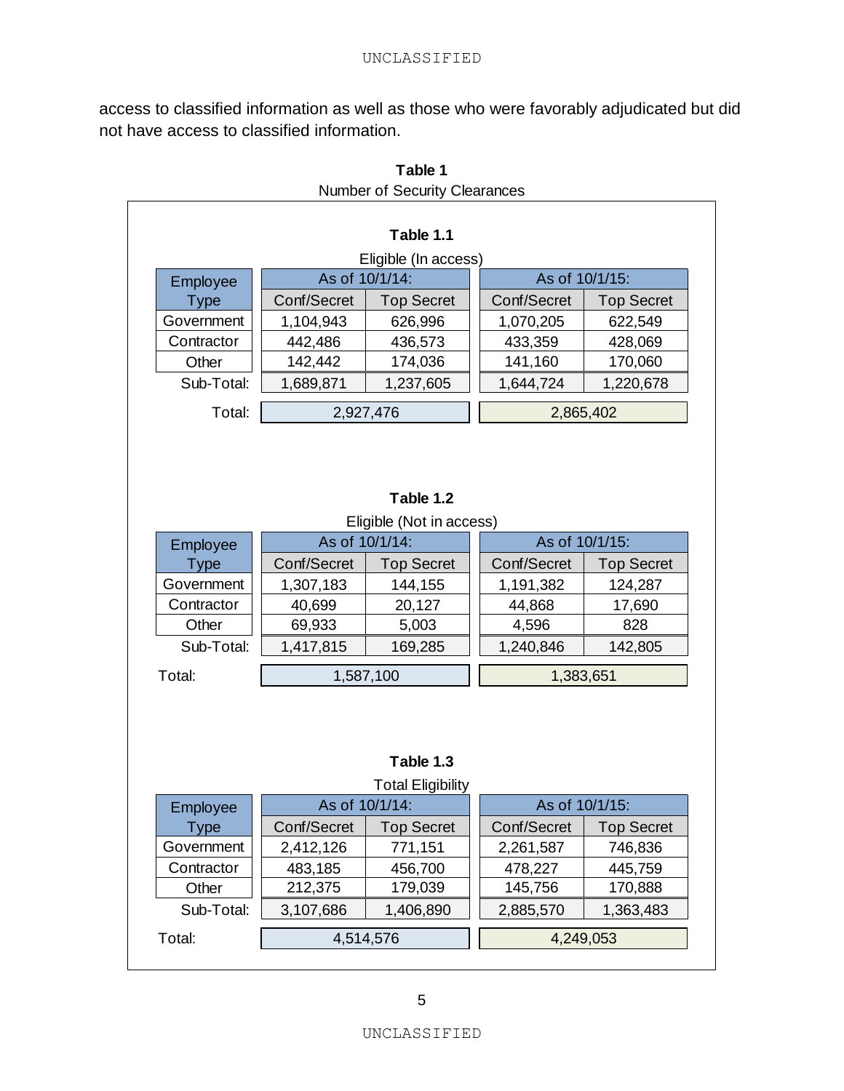access to classified information as well as those who were favorably adjudicated but did not have access to classified information.

|             |                | Table 1.1                             |                |                   |
|-------------|----------------|---------------------------------------|----------------|-------------------|
|             |                | Eligible (In access)                  |                |                   |
| Employee    | As of 10/1/14: |                                       | As of 10/1/15: |                   |
| <b>Type</b> | Conf/Secret    | <b>Top Secret</b>                     | Conf/Secret    | <b>Top Secret</b> |
| Government  | 1,104,943      | 626,996                               | 1,070,205      | 622,549           |
| Contractor  | 442,486        | 436,573                               | 433,359        | 428,069           |
| Other       | 142,442        | 174,036                               | 141,160        | 170,060           |
| Sub-Total:  | 1,689,871      | 1,237,605                             | 1,644,724      | 1,220,678         |
| Total:      | 2,927,476      |                                       | 2,865,402      |                   |
|             | As of 10/1/14: | Table 1.2<br>Eligible (Not in access) | As of 10/1/15: |                   |
| Employee    |                |                                       |                |                   |
| <b>Type</b> | Conf/Secret    | <b>Top Secret</b>                     | Conf/Secret    | <b>Top Secret</b> |
| Government  | 1,307,183      | 144,155                               | 1,191,382      | 124,287           |
| Contractor  | 40,699         | 20,127                                | 44,868         | 17,690            |
| Other       | 69,933         | 5,003                                 | 4,596          | 828               |
| Sub-Total:  | 1,417,815      | 169,285                               | 1,240,846      | 142,805           |
| Total:      | 1,587,100      |                                       | 1,383,651      |                   |
|             |                | Table 1.3<br><b>Total Eligibility</b> |                |                   |
| Employee    | As of 10/1/14: |                                       | As of 10/1/15: |                   |
| Type        | Conf/Secret    | Top Secret                            | Conf/Secret    | <b>Top Secret</b> |
| Government  | 2,412,126      | 771,151                               | 2,261,587      | 746,836           |
|             | 483,185        | 456,700                               | 478,227        | 445,759           |
| Contractor  |                |                                       | 145,756        |                   |
| Other       | 212,375        | 179,039                               |                | 170,888           |
| Sub-Total:  | 3,107,686      | 1,406,890                             | 2,885,570      | 1,363,483         |

**Table 1** Number of Security Clearances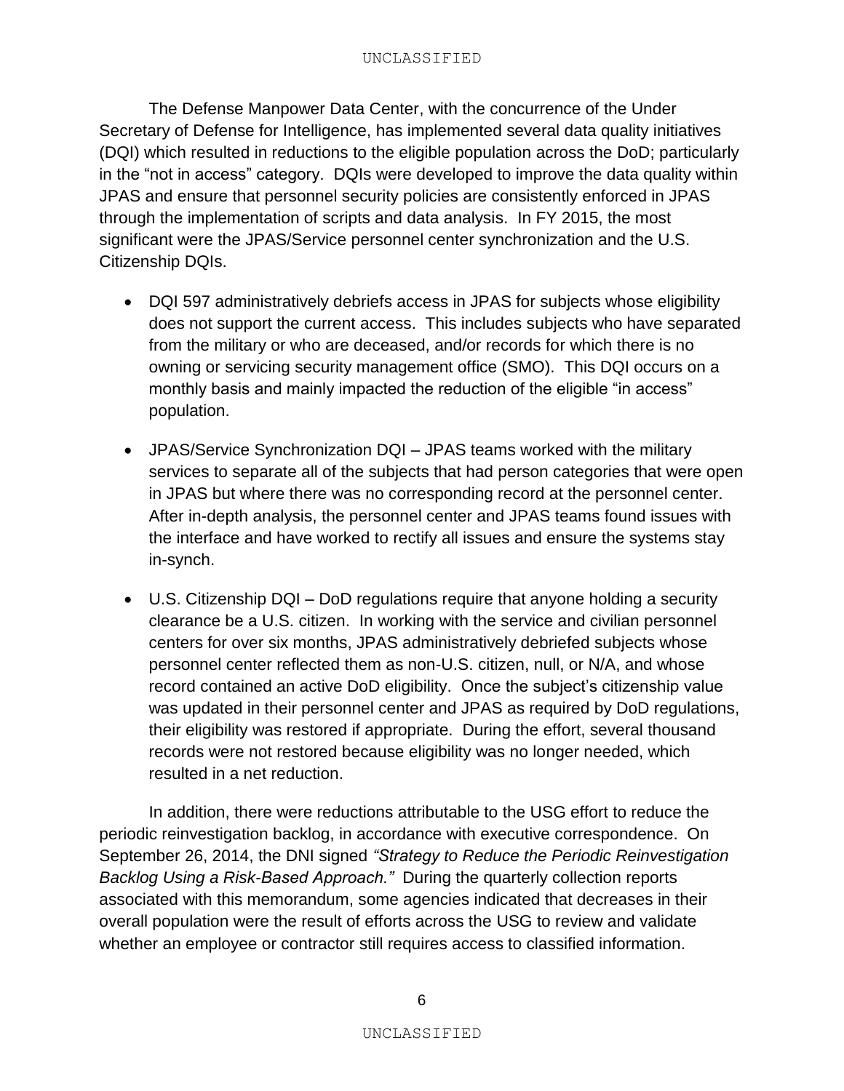The Defense Manpower Data Center, with the concurrence of the Under Secretary of Defense for Intelligence, has implemented several data quality initiatives (DQI) which resulted in reductions to the eligible population across the DoD; particularly in the "not in access" category. DQIs were developed to improve the data quality within JPAS and ensure that personnel security policies are consistently enforced in JPAS through the implementation of scripts and data analysis. In FY 2015, the most significant were the JPAS/Service personnel center synchronization and the U.S. Citizenship DQIs.

- DQI 597 administratively debriefs access in JPAS for subjects whose eligibility does not support the current access. This includes subjects who have separated from the military or who are deceased, and/or records for which there is no owning or servicing security management office (SMO). This DQI occurs on a monthly basis and mainly impacted the reduction of the eligible "in access" population.
- JPAS/Service Synchronization DQI JPAS teams worked with the military services to separate all of the subjects that had person categories that were open in JPAS but where there was no corresponding record at the personnel center. After in-depth analysis, the personnel center and JPAS teams found issues with the interface and have worked to rectify all issues and ensure the systems stay in-synch.
- U.S. Citizenship DQI DoD regulations require that anyone holding a security clearance be a U.S. citizen. In working with the service and civilian personnel centers for over six months, JPAS administratively debriefed subjects whose personnel center reflected them as non-U.S. citizen, null, or N/A, and whose record contained an active DoD eligibility. Once the subject's citizenship value was updated in their personnel center and JPAS as required by DoD regulations, their eligibility was restored if appropriate. During the effort, several thousand records were not restored because eligibility was no longer needed, which resulted in a net reduction.

In addition, there were reductions attributable to the USG effort to reduce the periodic reinvestigation backlog, in accordance with executive correspondence. On September 26, 2014, the DNI signed *"Strategy to Reduce the Periodic Reinvestigation Backlog Using a Risk-Based Approach."* During the quarterly collection reports associated with this memorandum, some agencies indicated that decreases in their overall population were the result of efforts across the USG to review and validate whether an employee or contractor still requires access to classified information.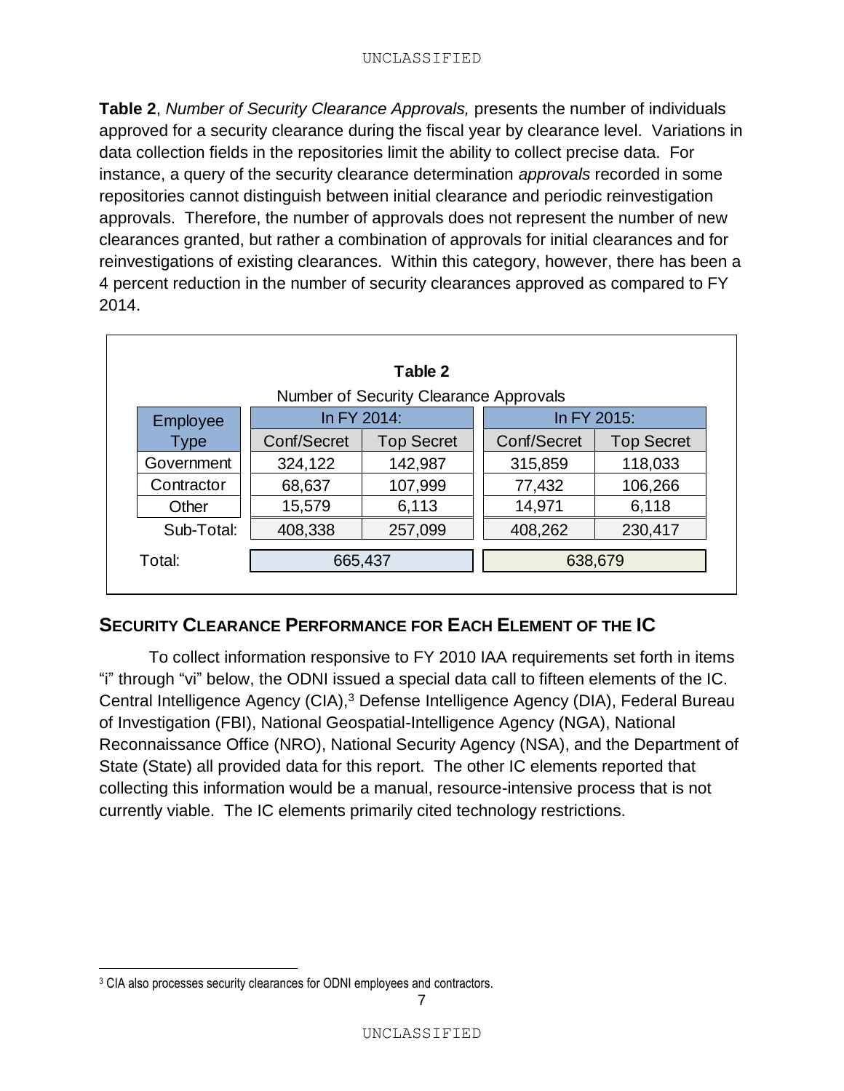**Table 2**, *Number of Security Clearance Approvals,* presents the number of individuals approved for a security clearance during the fiscal year by clearance level. Variations in data collection fields in the repositories limit the ability to collect precise data. For instance, a query of the security clearance determination *approvals* recorded in some repositories cannot distinguish between initial clearance and periodic reinvestigation approvals. Therefore, the number of approvals does not represent the number of new clearances granted, but rather a combination of approvals for initial clearances and for reinvestigations of existing clearances. Within this category, however, there has been a 4 percent reduction in the number of security clearances approved as compared to FY 2014.

|            |             | Table 2                                |             |                   |
|------------|-------------|----------------------------------------|-------------|-------------------|
|            |             | Number of Security Clearance Approvals |             |                   |
| Employee   |             | In FY 2014:                            |             | In FY 2015:       |
| Type       | Conf/Secret | <b>Top Secret</b>                      | Conf/Secret | <b>Top Secret</b> |
| Government | 324,122     | 142,987                                | 315,859     | 118,033           |
| Contractor | 68,637      | 107,999                                | 77,432      | 106,266           |
| Other      | 15,579      | 6,113                                  | 14,971      | 6,118             |
| Sub-Total: | 408,338     | 257,099                                | 408,262     | 230,417           |
| Total:     | 665,437     |                                        |             | 638,679           |

# <span id="page-7-0"></span>**SECURITY CLEARANCE PERFORMANCE FOR EACH ELEMENT OF THE IC**

To collect information responsive to FY 2010 IAA requirements set forth in items "i" through "vi" below, the ODNI issued a special data call to fifteen elements of the IC. Central Intelligence Agency (CIA),<sup>3</sup> Defense Intelligence Agency (DIA), Federal Bureau of Investigation (FBI), National Geospatial-Intelligence Agency (NGA), National Reconnaissance Office (NRO), National Security Agency (NSA), and the Department of State (State) all provided data for this report. The other IC elements reported that collecting this information would be a manual, resource-intensive process that is not currently viable. The IC elements primarily cited technology restrictions.

 $\overline{a}$ 

<sup>&</sup>lt;sup>3</sup> CIA also processes security clearances for ODNI employees and contractors.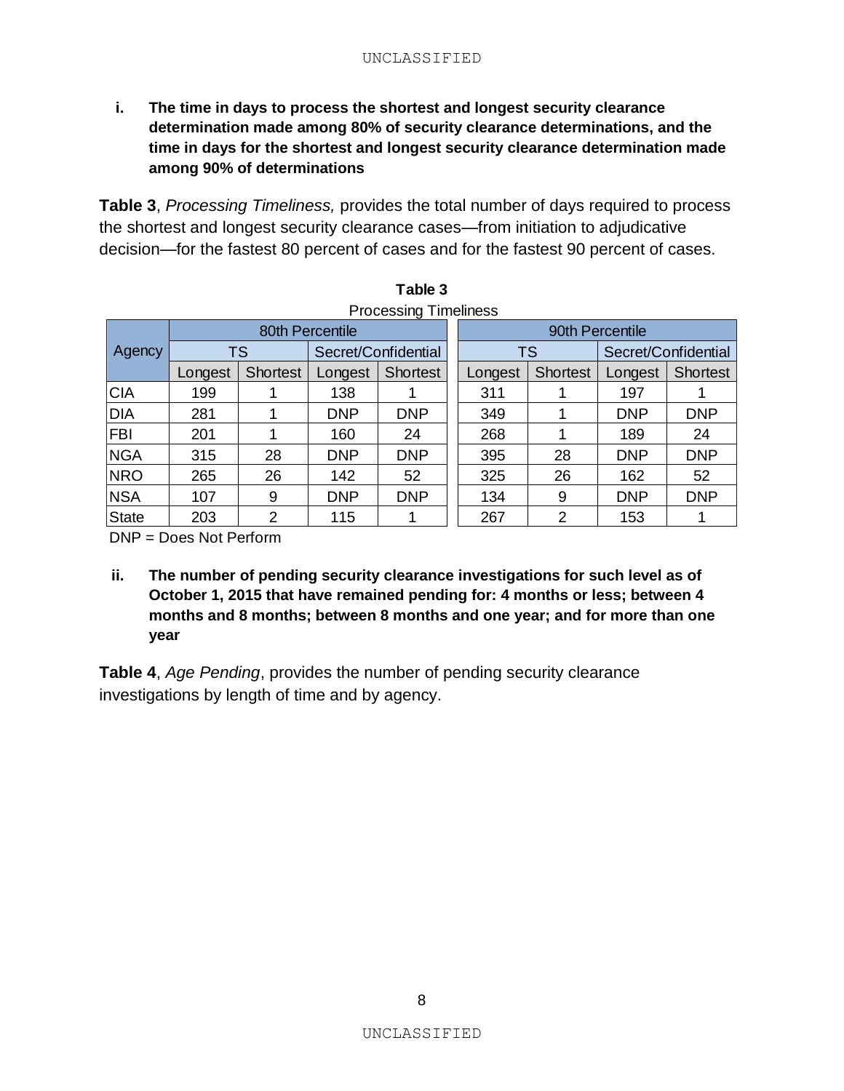<span id="page-8-0"></span>**i. The time in days to process the shortest and longest security clearance determination made among 80% of security clearance determinations, and the time in days for the shortest and longest security clearance determination made among 90% of determinations**

**Table 3**, *Processing Timeliness,* provides the total number of days required to process the shortest and longest security clearance cases—from initiation to adjudicative decision—for the fastest 80 percent of cases and for the fastest 90 percent of cases.

|              | Table 3                      |                 |            |                     |  |           |                 |            |                     |
|--------------|------------------------------|-----------------|------------|---------------------|--|-----------|-----------------|------------|---------------------|
|              | <b>Processing Timeliness</b> |                 |            |                     |  |           |                 |            |                     |
|              |                              | 80th Percentile |            |                     |  |           | 90th Percentile |            |                     |
| Agency       |                              | <b>TS</b>       |            | Secret/Confidential |  | <b>TS</b> |                 |            | Secret/Confidential |
|              | Longest                      | <b>Shortest</b> | Longest    | <b>Shortest</b>     |  | Longest   | <b>Shortest</b> | Longest    | Shortest            |
| <b>CIA</b>   | 199                          |                 | 138        |                     |  | 311       |                 | 197        |                     |
| <b>DIA</b>   | 281                          |                 | <b>DNP</b> | <b>DNP</b>          |  | 349       | 1               | <b>DNP</b> | <b>DNP</b>          |
| <b>FBI</b>   | 201                          |                 | 160        | 24                  |  | 268       | 1               | 189        | 24                  |
| <b>NGA</b>   | 315                          | 28              | <b>DNP</b> | <b>DNP</b>          |  | 395       | 28              | <b>DNP</b> | <b>DNP</b>          |
| <b>NRO</b>   | 265                          | 26              | 142        | 52                  |  | 325       | 26              | 162        | 52                  |
| <b>NSA</b>   | 107                          | 9               | <b>DNP</b> | <b>DNP</b>          |  | 134       | 9               | <b>DNP</b> | <b>DNP</b>          |
| <b>State</b> | 203                          | 2               | 115        |                     |  | 267       | $\overline{2}$  | 153        |                     |

| Table 3              |  |
|----------------------|--|
| Processing Timelines |  |

DNP = Does Not Perform

<span id="page-8-1"></span>**ii. The number of pending security clearance investigations for such level as of October 1, 2015 that have remained pending for: 4 months or less; between 4 months and 8 months; between 8 months and one year; and for more than one year**

**Table 4**, *Age Pending*, provides the number of pending security clearance investigations by length of time and by agency.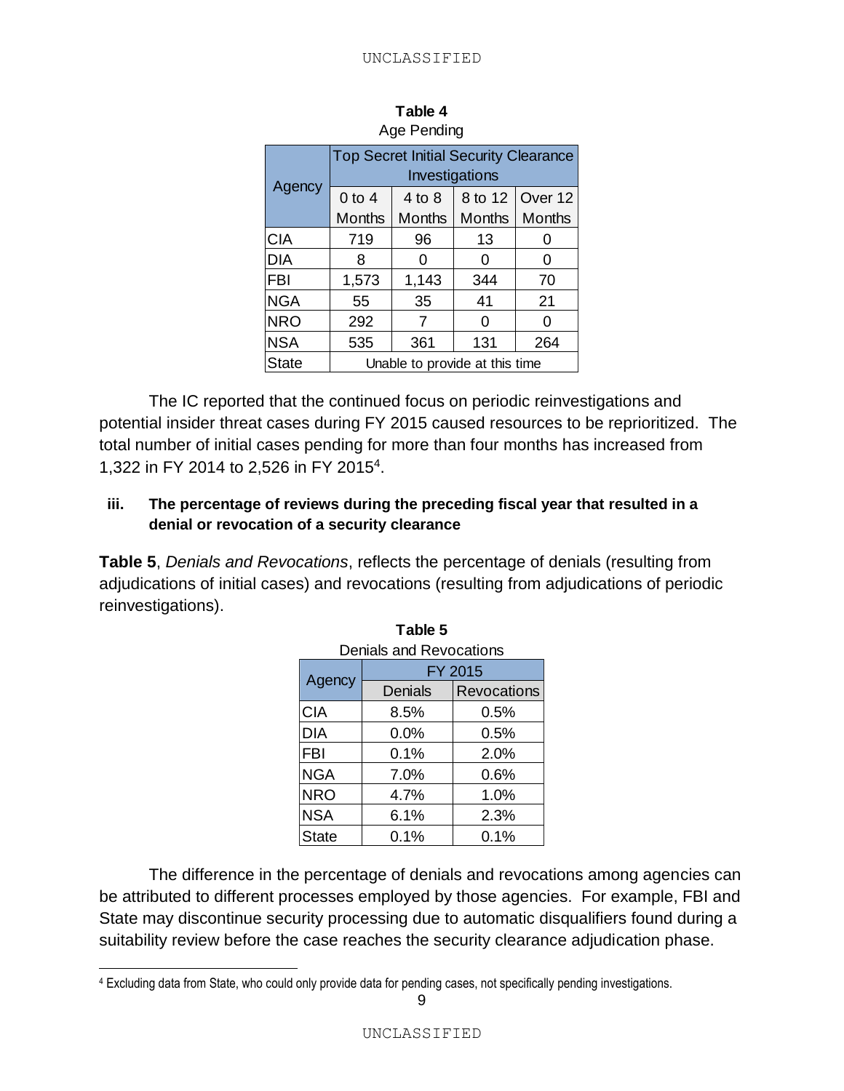|              | <b>Top Secret Initial Security Clearance</b><br>Investigations |                                |               |                 |
|--------------|----------------------------------------------------------------|--------------------------------|---------------|-----------------|
| Agency       | $0$ to 4                                                       | 4 to 8                         |               | 8 to 12 Over 12 |
|              | <b>Months</b>                                                  | <b>Months</b>                  | <b>Months</b> | Months          |
| <b>CIA</b>   | 719                                                            | 96                             | 13            |                 |
| <b>DIA</b>   | 8                                                              | 0                              | 0             | 0               |
| <b>FBI</b>   | 1,573                                                          | 1,143                          | 344           | 70              |
| <b>NGA</b>   | 55                                                             | 35                             | 41            | 21              |
| <b>NRO</b>   | 292                                                            | 7                              | 0             | 0               |
| <b>NSA</b>   | 535                                                            | 361                            | 131           | 264             |
| <b>State</b> |                                                                | Unable to provide at this time |               |                 |

| Table 4     |  |  |  |
|-------------|--|--|--|
| Age Pending |  |  |  |

The IC reported that the continued focus on periodic reinvestigations and potential insider threat cases during FY 2015 caused resources to be reprioritized. The total number of initial cases pending for more than four months has increased from 1,322 in FY 2014 to 2,526 in FY 2015<sup>4</sup> .

#### <span id="page-9-0"></span>**iii. The percentage of reviews during the preceding fiscal year that resulted in a denial or revocation of a security clearance**

**Table 5**, *Denials and Revocations*, reflects the percentage of denials (resulting from adjudications of initial cases) and revocations (resulting from adjudications of periodic reinvestigations).

| Deniais anu Revocations |                |                    |  |  |
|-------------------------|----------------|--------------------|--|--|
|                         |                | FY 2015            |  |  |
| Agency                  | <b>Denials</b> | <b>Revocations</b> |  |  |
| <b>CIA</b>              | 8.5%           | 0.5%               |  |  |
| <b>DIA</b>              | 0.0%           | 0.5%               |  |  |
| <b>FBI</b>              | 0.1%           | 2.0%               |  |  |
| <b>NGA</b>              | 7.0%           | 0.6%               |  |  |
| <b>NRO</b>              | 4.7%           | 1.0%               |  |  |
| <b>NSA</b>              | 6.1%           | 2.3%               |  |  |
| <b>State</b>            | 0.1%           | 0.1%               |  |  |

**Table 5** Denials and Revocations

The difference in the percentage of denials and revocations among agencies can be attributed to different processes employed by those agencies. For example, FBI and State may discontinue security processing due to automatic disqualifiers found during a suitability review before the case reaches the security clearance adjudication phase.

 $\overline{a}$ 

<sup>4</sup> Excluding data from State, who could only provide data for pending cases, not specifically pending investigations.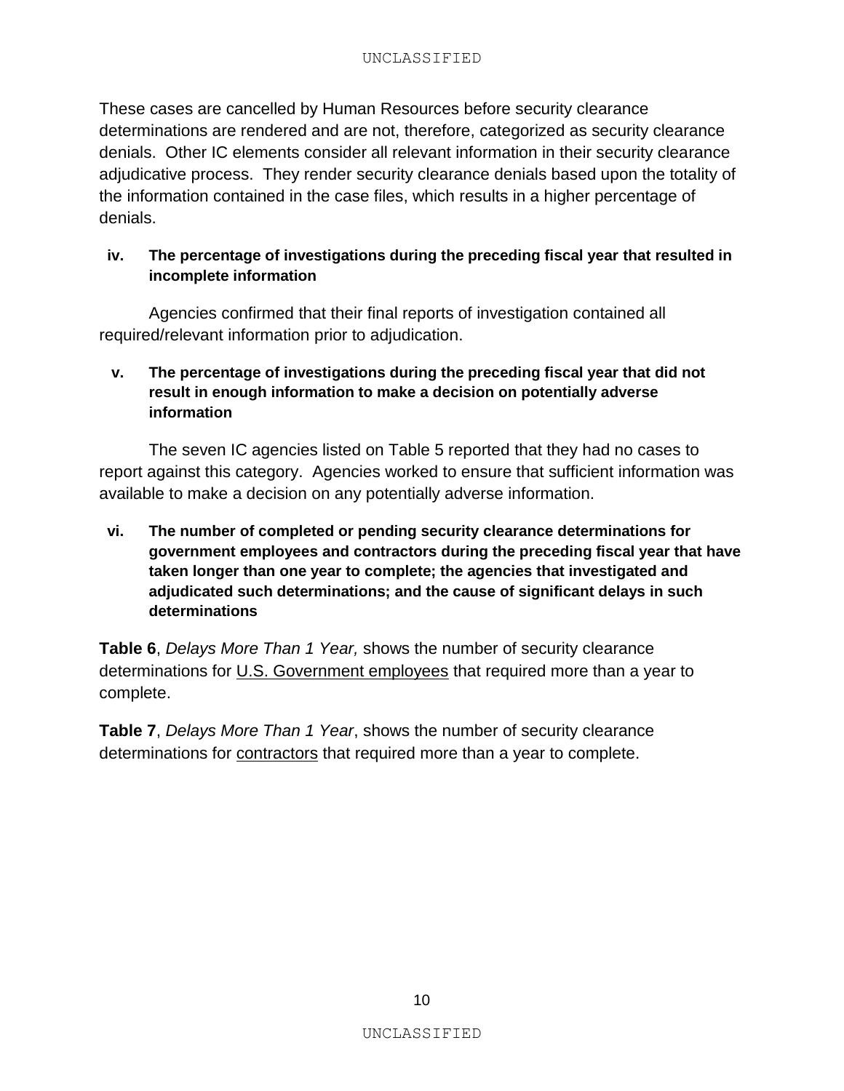These cases are cancelled by Human Resources before security clearance determinations are rendered and are not, therefore, categorized as security clearance denials. Other IC elements consider all relevant information in their security clearance adjudicative process. They render security clearance denials based upon the totality of the information contained in the case files, which results in a higher percentage of denials.

#### <span id="page-10-0"></span>**iv. The percentage of investigations during the preceding fiscal year that resulted in incomplete information**

Agencies confirmed that their final reports of investigation contained all required/relevant information prior to adjudication.

#### <span id="page-10-1"></span>**v. The percentage of investigations during the preceding fiscal year that did not result in enough information to make a decision on potentially adverse information**

The seven IC agencies listed on Table 5 reported that they had no cases to report against this category. Agencies worked to ensure that sufficient information was available to make a decision on any potentially adverse information.

<span id="page-10-2"></span>**vi. The number of completed or pending security clearance determinations for government employees and contractors during the preceding fiscal year that have taken longer than one year to complete; the agencies that investigated and adjudicated such determinations; and the cause of significant delays in such determinations**

**Table 6**, *Delays More Than 1 Year,* shows the number of security clearance determinations for U.S. Government employees that required more than a year to complete.

**Table 7**, *Delays More Than 1 Year*, shows the number of security clearance determinations for contractors that required more than a year to complete.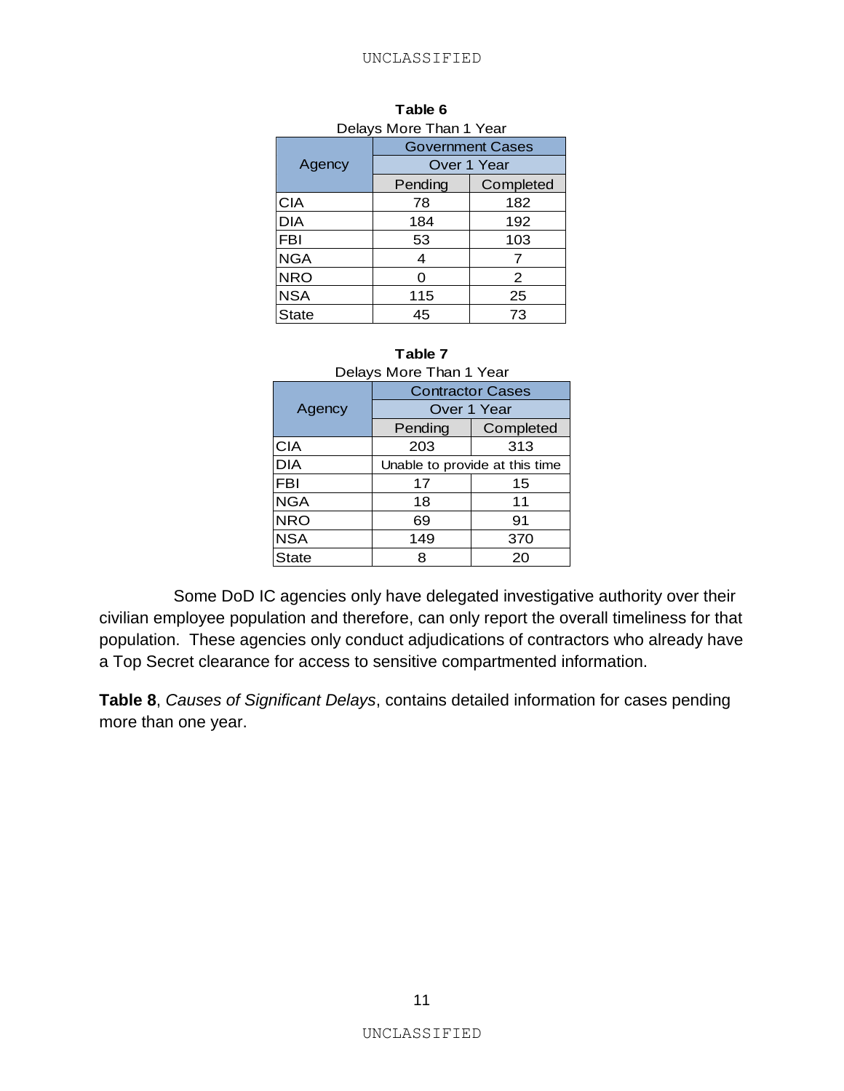| Delays More Than 1 Year |         |                         |  |  |
|-------------------------|---------|-------------------------|--|--|
|                         |         | <b>Government Cases</b> |  |  |
| Agency                  |         | Over 1 Year             |  |  |
|                         | Pending | Completed               |  |  |
| CIA                     | 78      | 182                     |  |  |
| DIA                     | 184     | 192                     |  |  |
| <b>FBI</b>              | 53      | 103                     |  |  |
| <b>NGA</b>              | 4       | 7                       |  |  |
| <b>NRO</b>              | ი       | 2                       |  |  |
| <b>NSA</b>              | 115     | 25                      |  |  |
| State                   | 45      | 73                      |  |  |

| Table 6                   |  |
|---------------------------|--|
| $lowo$ Mara Than 1 $\vee$ |  |

#### **Table 7**

| Delays More Than 1 Year |                                |           |  |  |
|-------------------------|--------------------------------|-----------|--|--|
|                         | <b>Contractor Cases</b>        |           |  |  |
| Agency                  | Over 1 Year                    |           |  |  |
|                         | Pending                        | Completed |  |  |
| <b>CIA</b>              | 203                            | 313       |  |  |
| <b>DIA</b>              | Unable to provide at this time |           |  |  |
| <b>FBI</b>              | 17                             | 15        |  |  |
| <b>NGA</b>              | 18                             | 11        |  |  |
| <b>NRO</b>              | 69                             | 91        |  |  |
| <b>NSA</b>              | 149                            | 370       |  |  |
| State                   | 8                              | 20        |  |  |

Some DoD IC agencies only have delegated investigative authority over their civilian employee population and therefore, can only report the overall timeliness for that population. These agencies only conduct adjudications of contractors who already have a Top Secret clearance for access to sensitive compartmented information.

**Table 8**, *Causes of Significant Delays*, contains detailed information for cases pending more than one year.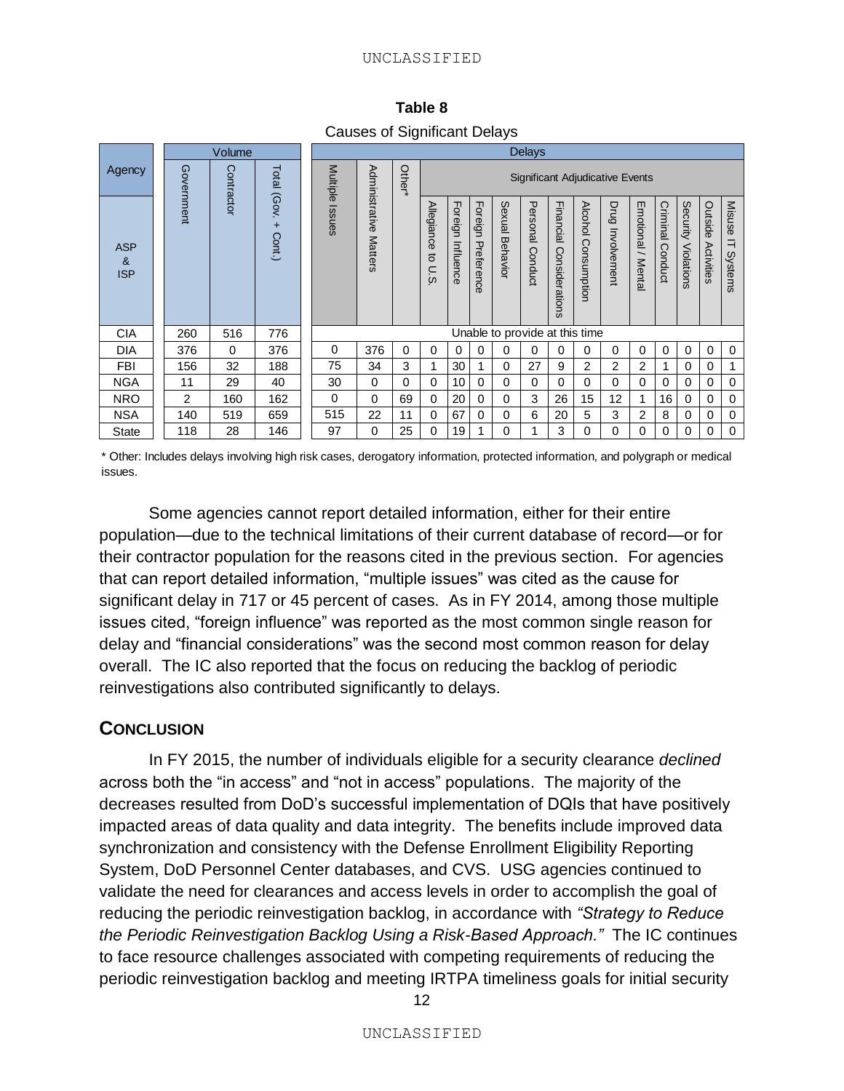| Causes of Significant Delays  |            |            |                     |               |                                  |          |                                        |                      |                       |                    |                     |                             |                     |                     |                       |                     |                        |                       |                        |
|-------------------------------|------------|------------|---------------------|---------------|----------------------------------|----------|----------------------------------------|----------------------|-----------------------|--------------------|---------------------|-----------------------------|---------------------|---------------------|-----------------------|---------------------|------------------------|-----------------------|------------------------|
|                               | Volume     |            |                     | <b>Delays</b> |                                  |          |                                        |                      |                       |                    |                     |                             |                     |                     |                       |                     |                        |                       |                        |
| Agency                        | Government | Contractor | Total (Gov.         | Multiple      |                                  | Other*   | <b>Significant Adjudicative Events</b> |                      |                       |                    |                     |                             |                     |                     |                       |                     |                        |                       |                        |
| <b>ASP</b><br>&<br><b>ISP</b> |            |            | $\ddot{}$<br>Cont.) | Issues        | Administrative<br><b>Matters</b> |          | Allegiance<br>đ<br>U.S                 | Foreign<br>Influence | Foreign<br>Preference | Sexual<br>Behavior | Personal<br>Conduct | Financial<br>Considerations | Alcohol Consumptior | Drug<br>Involvement | Emotional /<br>Mental | Criminal<br>Conduct | Security<br>Violations | Outside<br>Activities | Misuse<br>╕<br>Systems |
| <b>CIA</b>                    | 260        | 516        | 776                 |               | Unable to provide at this time   |          |                                        |                      |                       |                    |                     |                             |                     |                     |                       |                     |                        |                       |                        |
| <b>DIA</b>                    | 376        | $\Omega$   | 376                 | $\Omega$      | 376                              | $\Omega$ | 0                                      | $\Omega$             | $\Omega$              | 0                  | 0                   | 0                           | 0                   | 0                   | $\Omega$              | $\Omega$            | $\Omega$               | $\mathbf 0$           | $\Omega$               |
| FBI                           | 156        | 32         | 188                 | 75            | 34                               | 3        | 1                                      | 30                   | 1                     | 0                  | 27                  | 9                           | $\overline{2}$      | 2                   | 2                     | 1                   | $\Omega$               | $\mathbf 0$           |                        |
| <b>NGA</b>                    | 11         | 29         | 40                  | 30            | $\Omega$                         | 0        | $\Omega$                               | 10                   | $\Omega$              | $\Omega$           | $\Omega$            | $\Omega$                    | $\Omega$            | 0                   | $\Omega$              | $\Omega$            | $\Omega$               | $\Omega$              | $\Omega$               |
| <b>NRO</b>                    | 2          | 160        | 162                 | 0             | $\Omega$                         | 69       | $\mathbf 0$                            | 20                   | $\mathbf 0$           | $\Omega$           | 3                   | 26                          | 15                  | 12                  |                       | 16                  | 0                      | $\mathbf 0$           | 0                      |
| <b>NSA</b>                    | 140        | 519        | 659                 | 515           | 22                               | 11       | $\mathbf 0$                            | 67                   | $\Omega$              | $\Omega$           | 6                   | 20                          | 5                   | 3                   | $\overline{2}$        | 8                   | 0                      | $\mathbf 0$           | 0                      |
| <b>State</b>                  | 118        | 28         | 146                 | 97            | 0                                | 25       | 0                                      | 19                   |                       | 0                  |                     | 3                           | 0                   | 0                   | 0                     | 0                   | 0                      | 0                     | $\mathbf 0$            |

**Table 8** Causes of Significant Delays

\* Other: Includes delays involving high risk cases, derogatory information, protected information, and polygraph or medical issues.

Some agencies cannot report detailed information, either for their entire population—due to the technical limitations of their current database of record—or for their contractor population for the reasons cited in the previous section. For agencies that can report detailed information, "multiple issues" was cited as the cause for significant delay in 717 or 45 percent of cases. As in FY 2014, among those multiple issues cited, "foreign influence" was reported as the most common single reason for delay and "financial considerations" was the second most common reason for delay overall. The IC also reported that the focus on reducing the backlog of periodic reinvestigations also contributed significantly to delays.

### <span id="page-12-0"></span>**CONCLUSION**

In FY 2015, the number of individuals eligible for a security clearance *declined* across both the "in access" and "not in access" populations. The majority of the decreases resulted from DoD's successful implementation of DQIs that have positively impacted areas of data quality and data integrity. The benefits include improved data synchronization and consistency with the Defense Enrollment Eligibility Reporting System, DoD Personnel Center databases, and CVS. USG agencies continued to validate the need for clearances and access levels in order to accomplish the goal of reducing the periodic reinvestigation backlog, in accordance with *"Strategy to Reduce the Periodic Reinvestigation Backlog Using a Risk-Based Approach."* The IC continues to face resource challenges associated with competing requirements of reducing the periodic reinvestigation backlog and meeting IRTPA timeliness goals for initial security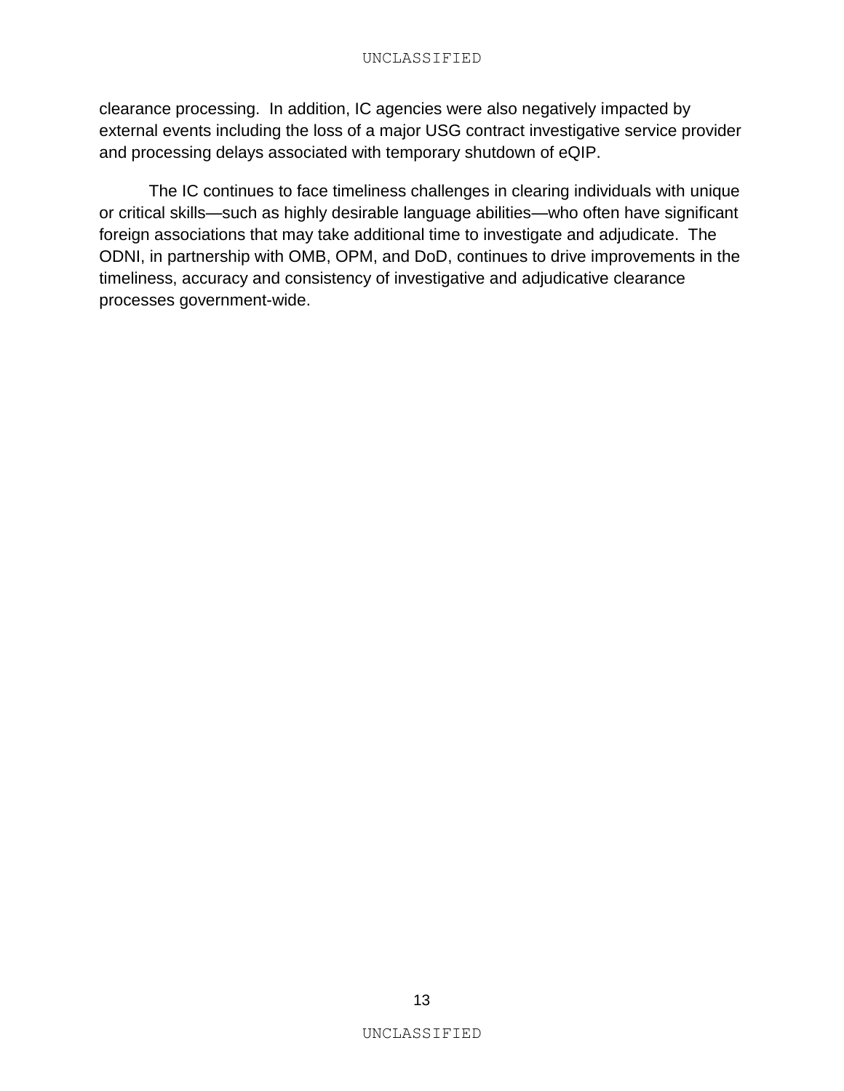clearance processing. In addition, IC agencies were also negatively impacted by external events including the loss of a major USG contract investigative service provider and processing delays associated with temporary shutdown of eQIP.

The IC continues to face timeliness challenges in clearing individuals with unique or critical skills—such as highly desirable language abilities—who often have significant foreign associations that may take additional time to investigate and adjudicate. The ODNI, in partnership with OMB, OPM, and DoD, continues to drive improvements in the timeliness, accuracy and consistency of investigative and adjudicative clearance processes government-wide.